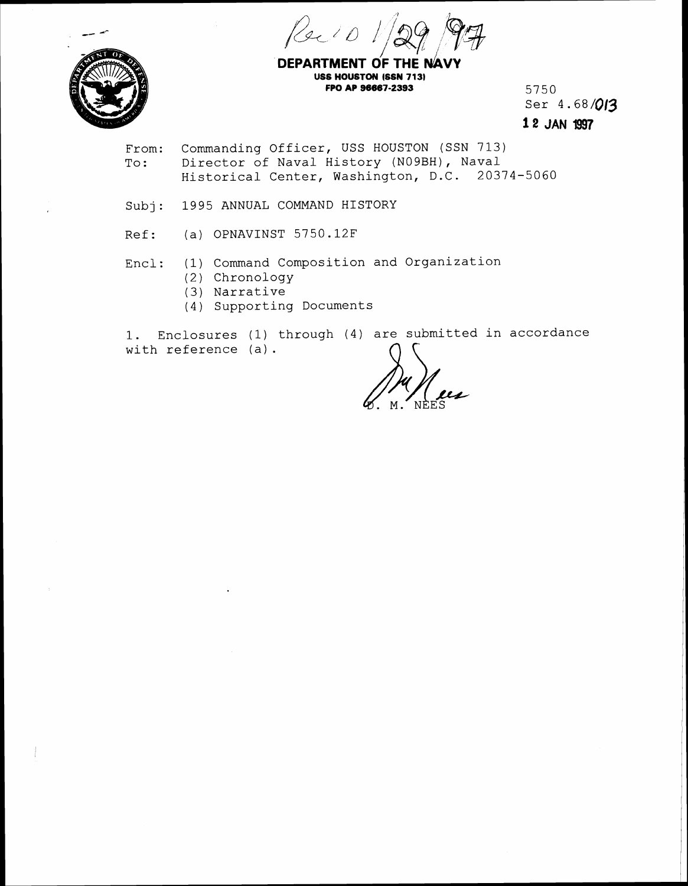Reit



**DEPARTMENT OF THE NAY USS HOUSTON (SSN 713) FPO AP 96667-2393** 5750

Ser 4.68/013 12 JAN l997

- From: Commanding Officer, USS HOUSTON (SSN 713) To: Director of Naval History (NOgBH), Naval Historical Center, Washington, D.C. 20374-5060
- Subj: 1995 ANNUAL COMMAND HISTORY
- Ref: (a) OPNAVINST 5750.12F
- Encl: (1) Command Composition and Organization
	- (2) Chronology
	- **(3)** Narrative
	- (4 ) Supporting Documents

1. Enclosures (1) through (4) are submitted in accordance<br>with reference (a).  $\bigcap_{n=1}^{\infty}$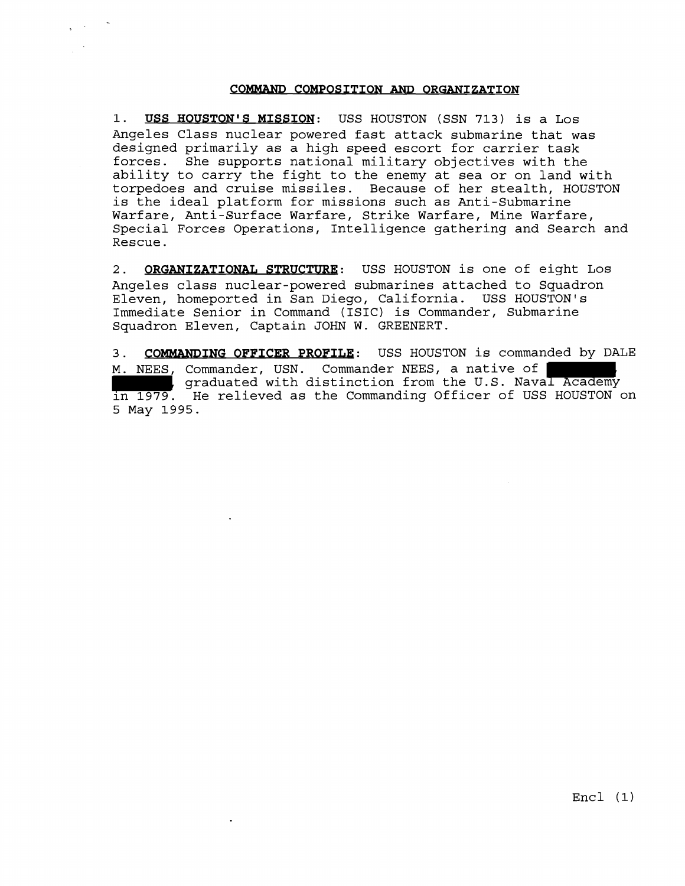COMMAND COMPOSITION AND ORGANIZATION<br>Wis MISSION: USS HOUSTON (SSN 713) is a Los<br>nuclear powered fast attack submarine that was<br>cily as a high speed escort for carrier task<br>pports national military objectives with the<br>cy t 1. USS HOUSTON'S MISSION: USS HOUSTON (SSN 713) is a Los Angeles Class nuclear powered fast attack submarine that was designed primarily as a high speed escort for carrier task forces. She supports national military objectives with the ability to carry the fight to the enemy at sea or on land with torpedoes and cruise missiles. Because of her stealth, HOUSTON is the ideal platform for missions such as Anti-Submarine Warfare, Anti-Surface Warfare, Strike Warfare, Mine Warfare, Special Forces Operations, Intelligence gathering and Search and Rescue.

**2. ORGANIZATIONAT, STRUCTURE:** USS HOUSTON is one of eight Los Angeles class nuclear-powered submarines attached to Squadron Eleven, homeported in San Diego, California. USS HOUSTON'S Immediate Senior in Command (ISIC) is Commander, Submarine Squadron Eleven, Captain JOHN W. GREENERT.

3. **COMMANDING OFFICER PROFILE:** USS HOUSTON is commanded by DALE M. NEES, Commander, USN. Commander NEES, a native of **the commander**, using the U.S. Naval Academy in 1979. He relieved as the Commanding Officer of USS HOUSTON on 5 May 1995.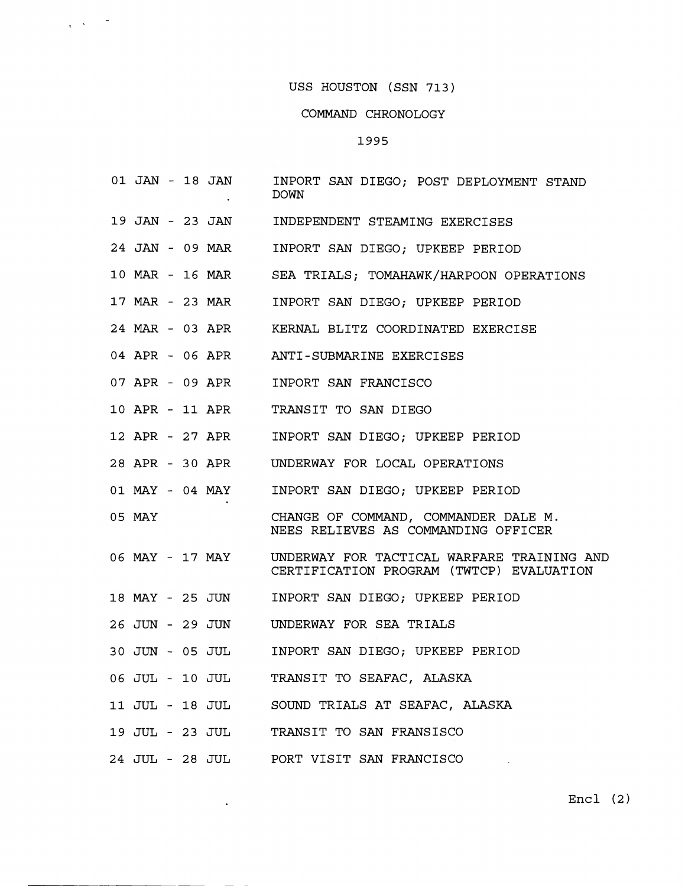#### COMMAND CHRONOLOGY

#### 1995

- **01** JAN **18** JAN INPORT SAN DIEGO; POST DEPLOYMENT STAND DOWN
- **19** JAN **23** JAN INDEPENDENT STEAMING EXERCISES
- **24** JAN **09** MAR INPORT SAN DIEGO; UPKEEP PERIOD
- **10 MAR 16 MAR**  SEA TRIALS; TOMAHAWK/HARPOON OPERATIONS
- **17 MAR 23** *MAR*  INPORT SAN DIEGO; UPKEEP PERIOD
- **24 MAR 03** APR KERNAL BLITZ COORDINATED EXERCISE
- **04** APR **06** APR ANTI-SUBMARINE EXERCISES
- **07** APR **09** APR INPORT SAN FRANCISCO
- **10** APR **11** APR TRANSIT TO SAN DIEGO
- **12** APR **27** APR INPORT SAN DIEGO; UPKEEP PERIOD
- **28** APR **30** APR UNDERWAY FOR LOCAL OPERATIONS
- **01** MAY **04** MAY INPORT SAN DIEGO; UPKEEP PERIOD
- **05** MAY CHANGE OF COMMAND, COMMANDER DALE M. NEES RELIEVES AS COMMANDING OFFICER
- **06** MAY **17** MAY UNDERWAY FOR TACTICAL WARFARE TRAINING AND CERTIFICATION PROGRAM (TWTCP) EVALUATION
- **18** MAY **25** JUN INPORT SAN DIEGO; UPKEEP PERIOD
- **26** JUN **29** JUN UNDERWAY FOR SEA TRIALS
- **30** JUN **05** JUL INPORT SAN DIEGO; UPKEEP PERIOD
- **06** JUL **10** JUL TRANSIT TO SEAFAC, ALASKA
- **11** JUL **18** JUL SOUND TRIALS AT SEAFAC, ALASKA
- **19** JUL **23** JUL TRANSIT TO SAN FRANSISCO
- **24** JUL **28** JUL PORT VISIT SAN FRANCISCO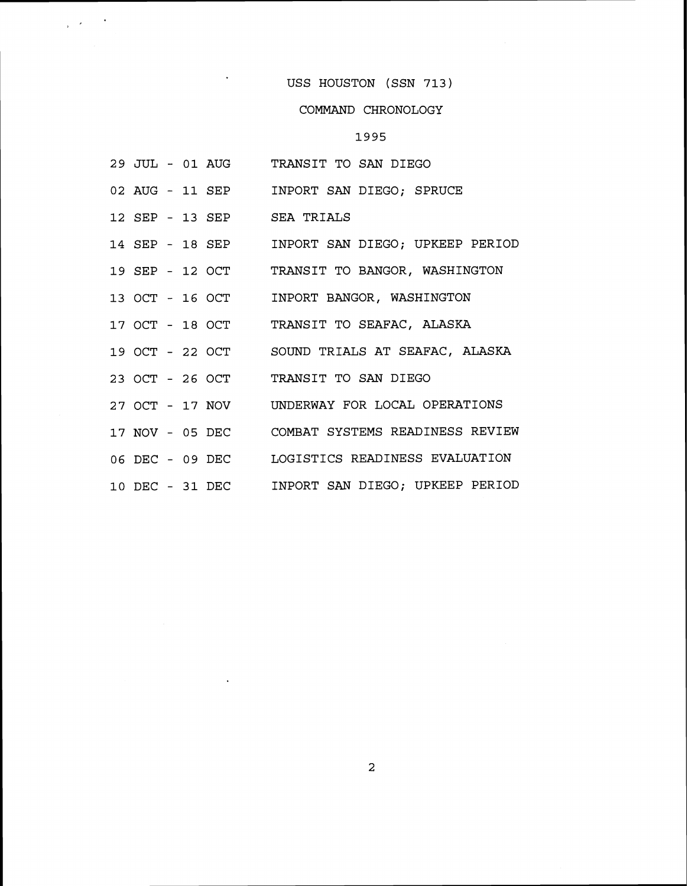# COMMAND CHRONOLOGY

# 1995

|  |  | 29 JUL - 01 AUG TRANSIT TO SAN DIEGO            |
|--|--|-------------------------------------------------|
|  |  | 02 AUG - 11 SEP INPORT SAN DIEGO; SPRUCE        |
|  |  | 12 SEP - 13 SEP SEA TRIALS                      |
|  |  | 14 SEP - 18 SEP INPORT SAN DIEGO; UPKEEP PERIOD |
|  |  | 19 SEP - 12 OCT TRANSIT TO BANGOR, WASHINGTON   |
|  |  | 13 OCT - 16 OCT INPORT BANGOR, WASHINGTON       |
|  |  | 17 OCT - 18 OCT TRANSIT TO SEAFAC, ALASKA       |
|  |  | 19 OCT - 22 OCT SOUND TRIALS AT SEAFAC, ALASKA  |
|  |  | 23 OCT - 26 OCT TRANSIT TO SAN DIEGO            |
|  |  | 27 OCT - 17 NOV UNDERWAY FOR LOCAL OPERATIONS   |
|  |  | 17 NOV - 05 DEC COMBAT SYSTEMS READINESS REVIEW |
|  |  | 06 DEC - 09 DEC LOGISTICS READINESS EVALUATION  |
|  |  | 10 DEC - 31 DEC INPORT SAN DIEGO; UPKEEP PERIOD |

 $\ddot{\phantom{0}}$ 

 $\frac{1}{2} \left( \frac{1}{2} \mathcal{L} \right) = \frac{1}{2} \left( \frac{1}{2} \mathcal{L} \right)$ 

 $\overline{a}$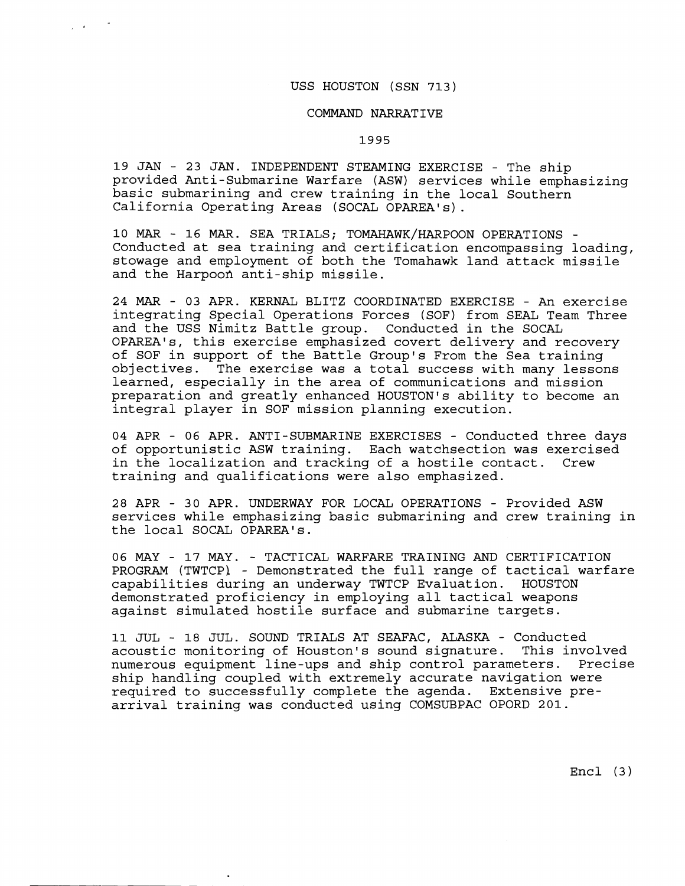#### COMMAND NARRATIVE

#### 1995

**19 JAN** - **23 JAN.** INDEPENDENT STEAMING EXERCISE - The ship provided Anti-Submarine Warfare (ASW) services while emphasizing basic submarining and crew training in the local Southern California Operating Areas (SOCAL OPAREA's).

**10 MAR** - **16 MAR.** SEA TRIALS; TOMAHAWK/HARPOON OPERATIONS - Conducted at sea training and certification encompassing loading, stowage and employment of both the Tomahawk land attack missile and the Harpoon anti-ship missile.

**24 MAR** - **03** APR. KERNAL BLITZ COORDINATED EXERCISE - An exercise integrating Special Operations Forces (SOF) from SEAL Team Three and the USS Nimitz Battle group. Conducted in the SOCAL OPAREA1s, this exercise emphasized covert delivery and recovery of SOF in support of the Battle Group's From the Sea training objectives. The exercise was a total success with many lessons learned, especially in the area of communications and mission preparation and greatly enhanced HOUSTON'S ability to become an integral player in SOF mission planning execution.

**04** APR - **06** APR. ANTI-SUBMARINE EXERCISES - Conducted three days of opportunistic ASW training. Each watchsection was exercised in the localization and tracking of a hostile contact. Crew training and qualifications were also emphasized.

**28** APR - **30** APR. UNDERWAY FOR LOCAL OPERATIONS - Provided ASW services while emphasizing basic submarining and crew training in the local SOCAL OPAREA's.

**06 MAY** - **17** MAY. - TACTICAL WARFARE TRAINING AND CERTIFICATION PROGRAM (TWTCP) - Demonstrated the full range of tactical warfare capabilities during an underway TWTCP Evaluation. HOUSTON demonstrated proficiency in employing all tactical weapons against simulated hostile surface and submarine targets.

**11** JUL - **18** JUL. SOUND TRIALS AT SEAFAC, ALASKA - Conducted acoustic monitoring of Houston's sound signature. This involved numerous equipment line-ups and ship control parameters. Precise ship handling coupled with extremely accurate navigation were required to successfully complete the agenda. Extensive prearrival training was conducted using COMSUBPAC OPORD **201.** 

Encl **(3)**